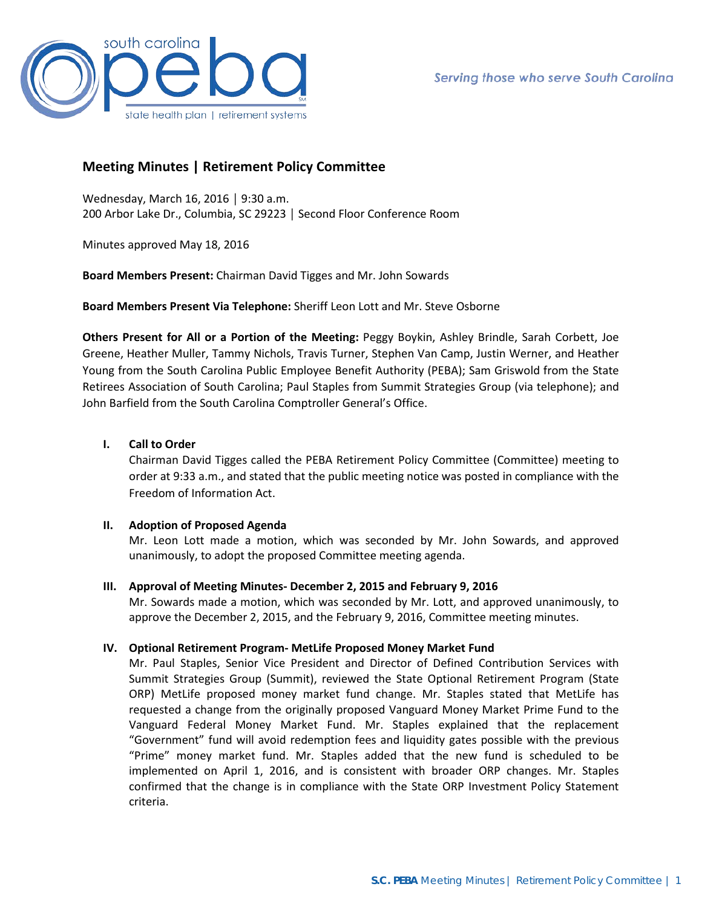

# **Meeting Minutes | Retirement Policy Committee**

Wednesday, March 16, 2016 │ 9:30 a.m. 200 Arbor Lake Dr., Columbia, SC 29223 │ Second Floor Conference Room

Minutes approved May 18, 2016

**Board Members Present:** Chairman David Tigges and Mr. John Sowards

**Board Members Present Via Telephone:** Sheriff Leon Lott and Mr. Steve Osborne

**Others Present for All or a Portion of the Meeting:** Peggy Boykin, Ashley Brindle, Sarah Corbett, Joe Greene, Heather Muller, Tammy Nichols, Travis Turner, Stephen Van Camp, Justin Werner, and Heather Young from the South Carolina Public Employee Benefit Authority (PEBA); Sam Griswold from the State Retirees Association of South Carolina; Paul Staples from Summit Strategies Group (via telephone); and John Barfield from the South Carolina Comptroller General's Office.

# **I. Call to Order**

Chairman David Tigges called the PEBA Retirement Policy Committee (Committee) meeting to order at 9:33 a.m., and stated that the public meeting notice was posted in compliance with the Freedom of Information Act.

## **II. Adoption of Proposed Agenda**

Mr. Leon Lott made a motion, which was seconded by Mr. John Sowards, and approved unanimously, to adopt the proposed Committee meeting agenda.

## **III. Approval of Meeting Minutes- December 2, 2015 and February 9, 2016**

Mr. Sowards made a motion, which was seconded by Mr. Lott, and approved unanimously, to approve the December 2, 2015, and the February 9, 2016, Committee meeting minutes.

# **IV. Optional Retirement Program- MetLife Proposed Money Market Fund**

Mr. Paul Staples, Senior Vice President and Director of Defined Contribution Services with Summit Strategies Group (Summit), reviewed the State Optional Retirement Program (State ORP) MetLife proposed money market fund change. Mr. Staples stated that MetLife has requested a change from the originally proposed Vanguard Money Market Prime Fund to the Vanguard Federal Money Market Fund. Mr. Staples explained that the replacement "Government" fund will avoid redemption fees and liquidity gates possible with the previous "Prime" money market fund. Mr. Staples added that the new fund is scheduled to be implemented on April 1, 2016, and is consistent with broader ORP changes. Mr. Staples confirmed that the change is in compliance with the State ORP Investment Policy Statement criteria.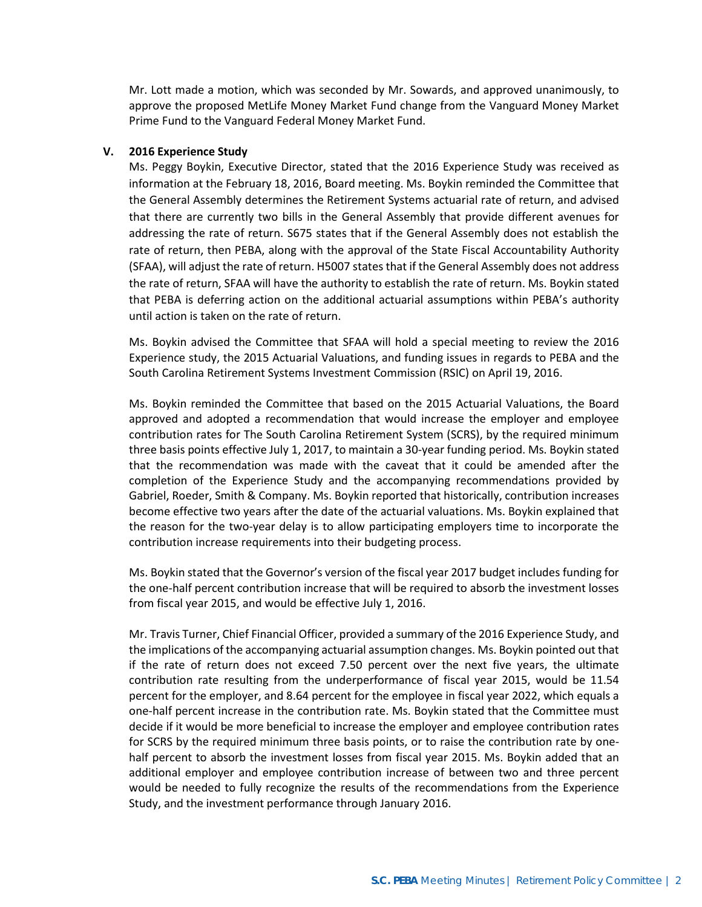Mr. Lott made a motion, which was seconded by Mr. Sowards, and approved unanimously, to approve the proposed MetLife Money Market Fund change from the Vanguard Money Market Prime Fund to the Vanguard Federal Money Market Fund.

#### **V. 2016 Experience Study**

Ms. Peggy Boykin, Executive Director, stated that the 2016 Experience Study was received as information at the February 18, 2016, Board meeting. Ms. Boykin reminded the Committee that the General Assembly determines the Retirement Systems actuarial rate of return, and advised that there are currently two bills in the General Assembly that provide different avenues for addressing the rate of return. S675 states that if the General Assembly does not establish the rate of return, then PEBA, along with the approval of the State Fiscal Accountability Authority (SFAA), will adjust the rate of return. H5007 states that if the General Assembly does not address the rate of return, SFAA will have the authority to establish the rate of return. Ms. Boykin stated that PEBA is deferring action on the additional actuarial assumptions within PEBA's authority until action is taken on the rate of return.

Ms. Boykin advised the Committee that SFAA will hold a special meeting to review the 2016 Experience study, the 2015 Actuarial Valuations, and funding issues in regards to PEBA and the South Carolina Retirement Systems Investment Commission (RSIC) on April 19, 2016.

Ms. Boykin reminded the Committee that based on the 2015 Actuarial Valuations, the Board approved and adopted a recommendation that would increase the employer and employee contribution rates for The South Carolina Retirement System (SCRS), by the required minimum three basis points effective July 1, 2017, to maintain a 30-year funding period. Ms. Boykin stated that the recommendation was made with the caveat that it could be amended after the completion of the Experience Study and the accompanying recommendations provided by Gabriel, Roeder, Smith & Company. Ms. Boykin reported that historically, contribution increases become effective two years after the date of the actuarial valuations. Ms. Boykin explained that the reason for the two-year delay is to allow participating employers time to incorporate the contribution increase requirements into their budgeting process.

Ms. Boykin stated that the Governor's version of the fiscal year 2017 budget includes funding for the one-half percent contribution increase that will be required to absorb the investment losses from fiscal year 2015, and would be effective July 1, 2016.

Mr. Travis Turner, Chief Financial Officer, provided a summary of the 2016 Experience Study, and the implications of the accompanying actuarial assumption changes. Ms. Boykin pointed out that if the rate of return does not exceed 7.50 percent over the next five years, the ultimate contribution rate resulting from the underperformance of fiscal year 2015, would be 11.54 percent for the employer, and 8.64 percent for the employee in fiscal year 2022, which equals a one-half percent increase in the contribution rate. Ms. Boykin stated that the Committee must decide if it would be more beneficial to increase the employer and employee contribution rates for SCRS by the required minimum three basis points, or to raise the contribution rate by onehalf percent to absorb the investment losses from fiscal year 2015. Ms. Boykin added that an additional employer and employee contribution increase of between two and three percent would be needed to fully recognize the results of the recommendations from the Experience Study, and the investment performance through January 2016.